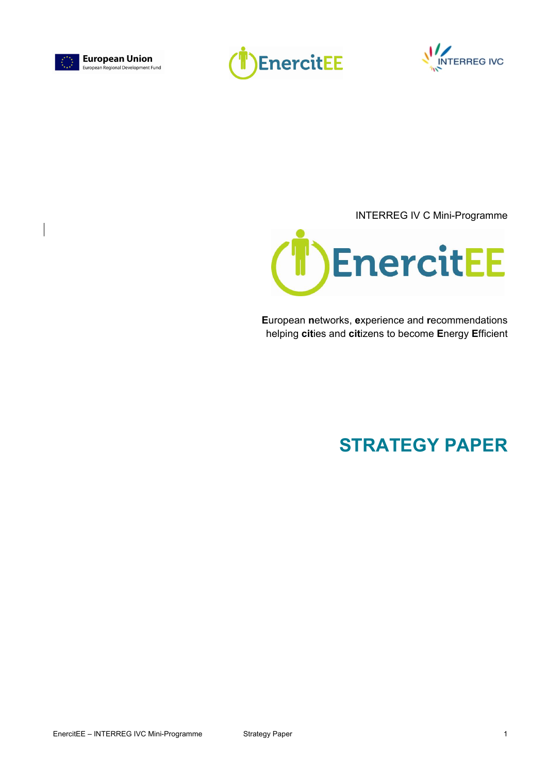





INTERREG IV C Mini-Programme



**E**uropean **n**etworks, **e**xperience and **r**ecommendations helping **cit**ies and **cit**izens to become **E**nergy **E**fficient

# **STRATEGY PAPER**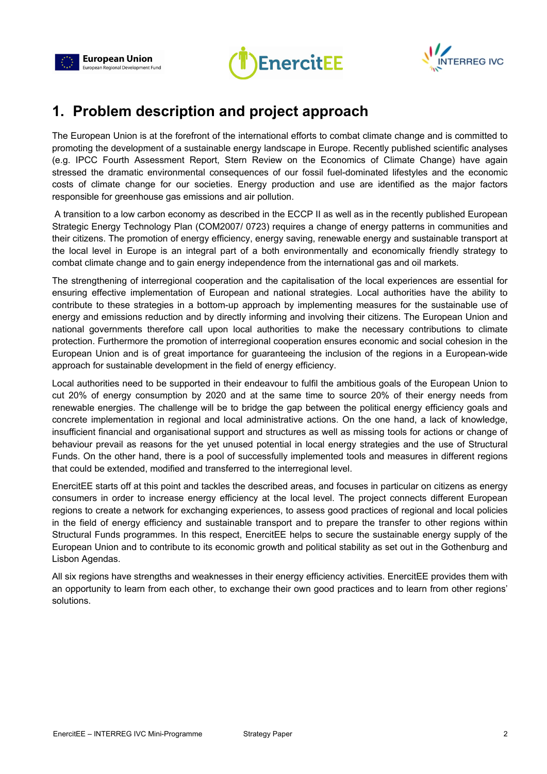





## **1. Problem description and project approach**

The European Union is at the forefront of the international efforts to combat climate change and is committed to promoting the development of a sustainable energy landscape in Europe. Recently published scientific analyses (e.g. IPCC Fourth Assessment Report, Stern Review on the Economics of Climate Change) have again stressed the dramatic environmental consequences of our fossil fuel-dominated lifestyles and the economic costs of climate change for our societies. Energy production and use are identified as the major factors responsible for greenhouse gas emissions and air pollution.

 A transition to a low carbon economy as described in the ECCP II as well as in the recently published European Strategic Energy Technology Plan (COM2007/ 0723) requires a change of energy patterns in communities and their citizens. The promotion of energy efficiency, energy saving, renewable energy and sustainable transport at the local level in Europe is an integral part of a both environmentally and economically friendly strategy to combat climate change and to gain energy independence from the international gas and oil markets.

The strengthening of interregional cooperation and the capitalisation of the local experiences are essential for ensuring effective implementation of European and national strategies. Local authorities have the ability to contribute to these strategies in a bottom-up approach by implementing measures for the sustainable use of energy and emissions reduction and by directly informing and involving their citizens. The European Union and national governments therefore call upon local authorities to make the necessary contributions to climate protection. Furthermore the promotion of interregional cooperation ensures economic and social cohesion in the European Union and is of great importance for guaranteeing the inclusion of the regions in a European-wide approach for sustainable development in the field of energy efficiency.

Local authorities need to be supported in their endeavour to fulfil the ambitious goals of the European Union to cut 20% of energy consumption by 2020 and at the same time to source 20% of their energy needs from renewable energies. The challenge will be to bridge the gap between the political energy efficiency goals and concrete implementation in regional and local administrative actions. On the one hand, a lack of knowledge, insufficient financial and organisational support and structures as well as missing tools for actions or change of behaviour prevail as reasons for the yet unused potential in local energy strategies and the use of Structural Funds. On the other hand, there is a pool of successfully implemented tools and measures in different regions that could be extended, modified and transferred to the interregional level.

EnercitEE starts off at this point and tackles the described areas, and focuses in particular on citizens as energy consumers in order to increase energy efficiency at the local level. The project connects different European regions to create a network for exchanging experiences, to assess good practices of regional and local policies in the field of energy efficiency and sustainable transport and to prepare the transfer to other regions within Structural Funds programmes. In this respect, EnercitEE helps to secure the sustainable energy supply of the European Union and to contribute to its economic growth and political stability as set out in the Gothenburg and Lisbon Agendas.

All six regions have strengths and weaknesses in their energy efficiency activities. EnercitEE provides them with an opportunity to learn from each other, to exchange their own good practices and to learn from other regions' solutions.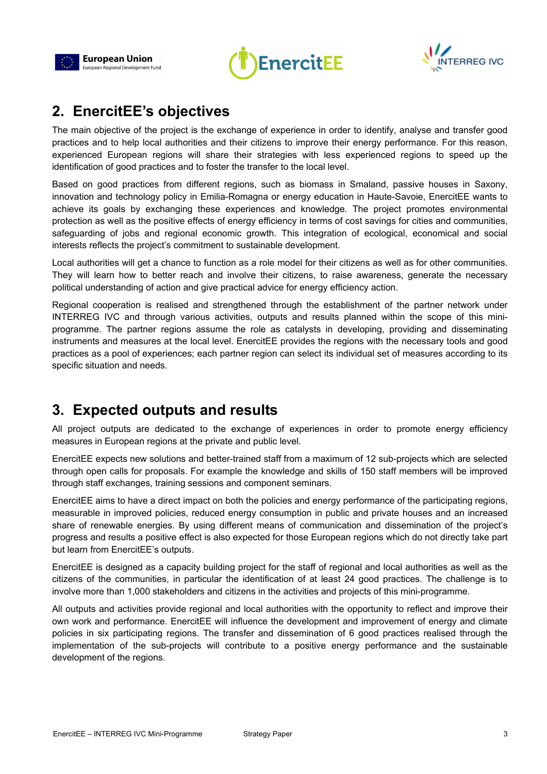





## **2. EnercitEE's objectives**

The main objective of the project is the exchange of experience in order to identify, analyse and transfer good practices and to help local authorities and their citizens to improve their energy performance. For this reason, experienced European regions will share their strategies with less experienced regions to speed up the identification of good practices and to foster the transfer to the local level.

Based on good practices from different regions, such as biomass in Smaland, passive houses in Saxony, innovation and technology policy in Emilia-Romagna or energy education in Haute-Savoie, EnercitEE wants to achieve its goals by exchanging these experiences and knowledge. The project promotes environmental protection as well as the positive effects of energy efficiency in terms of cost savings for cities and communities, safeguarding of jobs and regional economic growth. This integration of ecological, economical and social interests reflects the project's commitment to sustainable development.

Local authorities will get a chance to function as a role model for their citizens as well as for other communities. They will learn how to better reach and involve their citizens, to raise awareness, generate the necessary political understanding of action and give practical advice for energy efficiency action.

Regional cooperation is realised and strengthened through the establishment of the partner network under INTERREG IVC and through various activities, outputs and results planned within the scope of this miniprogramme. The partner regions assume the role as catalysts in developing, providing and disseminating instruments and measures at the local level. EnercitEE provides the regions with the necessary tools and good practices as a pool of experiences; each partner region can select its individual set of measures according to its specific situation and needs.

## **3. Expected outputs and results**

All project outputs are dedicated to the exchange of experiences in order to promote energy efficiency measures in European regions at the private and public level.

EnercitEE expects new solutions and better-trained staff from a maximum of 12 sub-projects which are selected through open calls for proposals. For example the knowledge and skills of 150 staff members will be improved through staff exchanges, training sessions and component seminars.

EnercitEE aims to have a direct impact on both the policies and energy performance of the participating regions, measurable in improved policies, reduced energy consumption in public and private houses and an increased share of renewable energies. By using different means of communication and dissemination of the project's progress and results a positive effect is also expected for those European regions which do not directly take part but learn from EnercitEE's outputs.

EnercitEE is designed as a capacity building project for the staff of regional and local authorities as well as the citizens of the communities, in particular the identification of at least 24 good practices. The challenge is to involve more than 1,000 stakeholders and citizens in the activities and projects of this mini-programme.

All outputs and activities provide regional and local authorities with the opportunity to reflect and improve their own work and performance. EnercitEE will influence the development and improvement of energy and climate policies in six participating regions. The transfer and dissemination of 6 good practices realised through the implementation of the sub-projects will contribute to a positive energy performance and the sustainable development of the regions.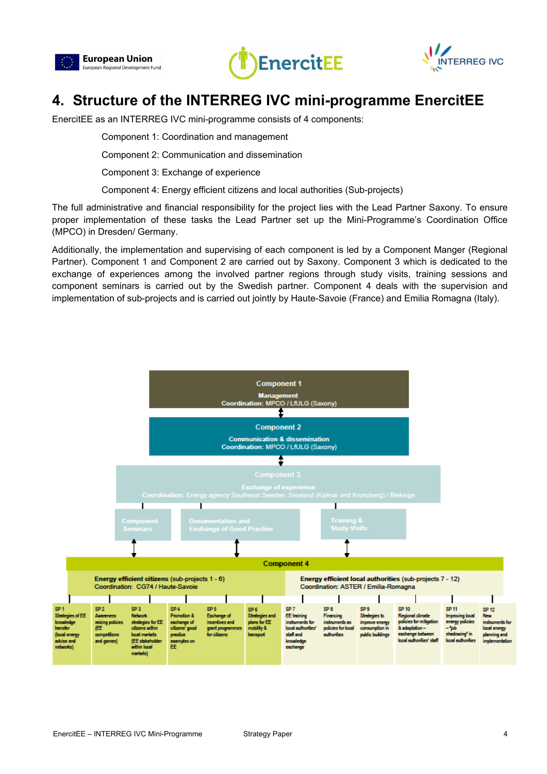





## **4. Structure of the INTERREG IVC mini-programme EnercitEE**

EnercitEE as an INTERREG IVC mini-programme consists of 4 components:

Component 1: Coordination and management

Component 2: Communication and dissemination

Component 3: Exchange of experience

Component 4: Energy efficient citizens and local authorities (Sub-projects)

The full administrative and financial responsibility for the project lies with the Lead Partner Saxony. To ensure proper implementation of these tasks the Lead Partner set up the Mini-Programme's Coordination Office (MPCO) in Dresden/ Germany.

Additionally, the implementation and supervising of each component is led by a Component Manger (Regional Partner). Component 1 and Component 2 are carried out by Saxony. Component 3 which is dedicated to the exchange of experiences among the involved partner regions through study visits, training sessions and component seminars is carried out by the Swedish partner. Component 4 deals with the supervision and implementation of sub-projects and is carried out jointly by Haute-Savoie (France) and Emilia Romagna (Italy).

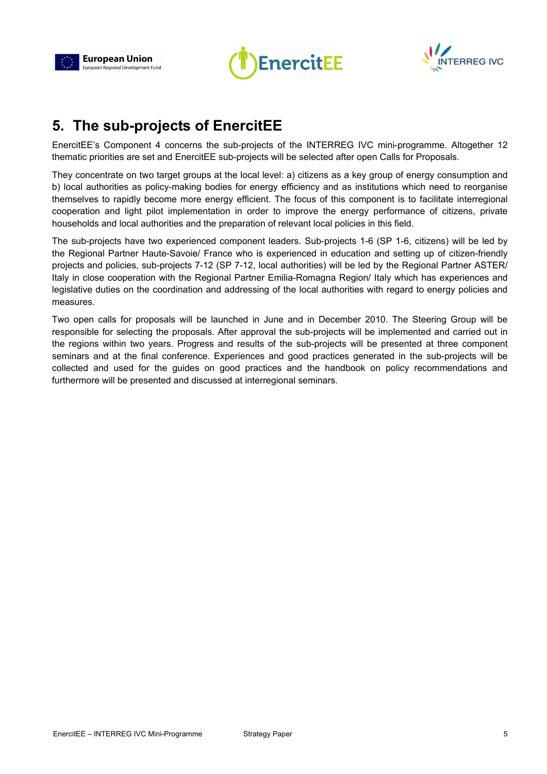





## **5. The sub-projects of EnercitEE**

EnercitEE's Component 4 concerns the sub-projects of the INTERREG IVC mini-programme. Altogether 12 thematic priorities are set and EnercitEE sub-projects will be selected after open Calls for Proposals.

They concentrate on two target groups at the local level: a) citizens as a key group of energy consumption and b) local authorities as policy-making bodies for energy efficiency and as institutions which need to reorganise themselves to rapidly become more energy efficient. The focus of this component is to facilitate interregional cooperation and light pilot implementation in order to improve the energy performance of citizens, private households and local authorities and the preparation of relevant local policies in this field.

The sub-projects have two experienced component leaders. Sub-projects 1-6 (SP 1-6, citizens) will be led by the Regional Partner Haute-Savoie/ France who is experienced in education and setting up of citizen-friendly projects and policies, sub-projects 7-12 (SP 7-12, local authorities) will be led by the Regional Partner ASTER/ Italy in close cooperation with the Regional Partner Emilia-Romagna Region/ Italy which has experiences and legislative duties on the coordination and addressing of the local authorities with regard to energy policies and measures.

Two open calls for proposals will be launched in June and in December 2010. The Steering Group will be responsible for selecting the proposals. After approval the sub-projects will be implemented and carried out in the regions within two years. Progress and results of the sub-projects will be presented at three component seminars and at the final conference. Experiences and good practices generated in the sub-projects will be collected and used for the guides on good practices and the handbook on policy recommendations and furthermore will be presented and discussed at interregional seminars.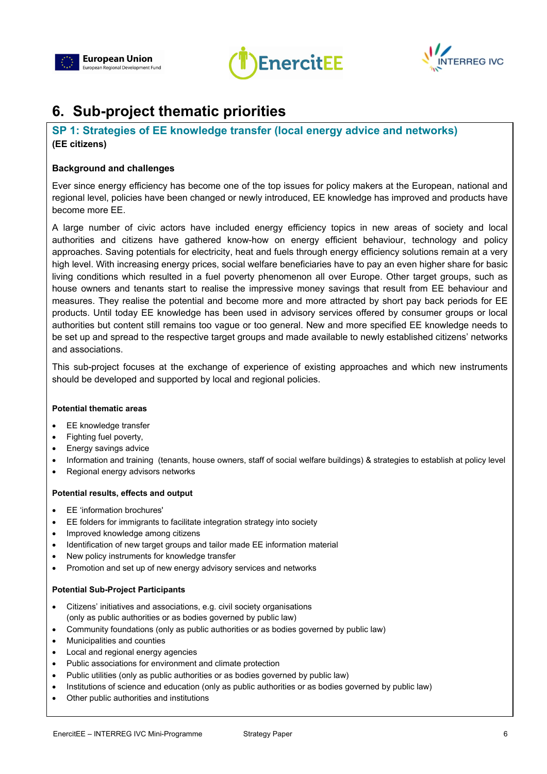





## **6. Sub-project thematic priorities**

### **SP 1: Strategies of EE knowledge transfer (local energy advice and networks) (EE citizens)**

#### **Background and challenges**

Ever since energy efficiency has become one of the top issues for policy makers at the European, national and regional level, policies have been changed or newly introduced, EE knowledge has improved and products have become more EE.

A large number of civic actors have included energy efficiency topics in new areas of society and local authorities and citizens have gathered know-how on energy efficient behaviour, technology and policy approaches. Saving potentials for electricity, heat and fuels through energy efficiency solutions remain at a very high level. With increasing energy prices, social welfare beneficiaries have to pay an even higher share for basic living conditions which resulted in a fuel poverty phenomenon all over Europe. Other target groups, such as house owners and tenants start to realise the impressive money savings that result from EE behaviour and measures. They realise the potential and become more and more attracted by short pay back periods for EE products. Until today EE knowledge has been used in advisory services offered by consumer groups or local authorities but content still remains too vague or too general. New and more specified EE knowledge needs to be set up and spread to the respective target groups and made available to newly established citizens' networks and associations.

This sub-project focuses at the exchange of experience of existing approaches and which new instruments should be developed and supported by local and regional policies.

#### **Potential thematic areas**

- EE knowledge transfer
- Fighting fuel poverty,
- Energy savings advice
- Information and training (tenants, house owners, staff of social welfare buildings) & strategies to establish at policy level
- Regional energy advisors networks

#### **Potential results, effects and output**

- EE 'information brochures'
- EE folders for immigrants to facilitate integration strategy into society
- Improved knowledge among citizens
- Identification of new target groups and tailor made EE information material
- New policy instruments for knowledge transfer
- Promotion and set up of new energy advisory services and networks

- Citizens' initiatives and associations, e.g. civil society organisations (only as public authorities or as bodies governed by public law)
- Community foundations (only as public authorities or as bodies governed by public law)
- Municipalities and counties
- Local and regional energy agencies
- Public associations for environment and climate protection
- Public utilities (only as public authorities or as bodies governed by public law)
- Institutions of science and education (only as public authorities or as bodies governed by public law)
- Other public authorities and institutions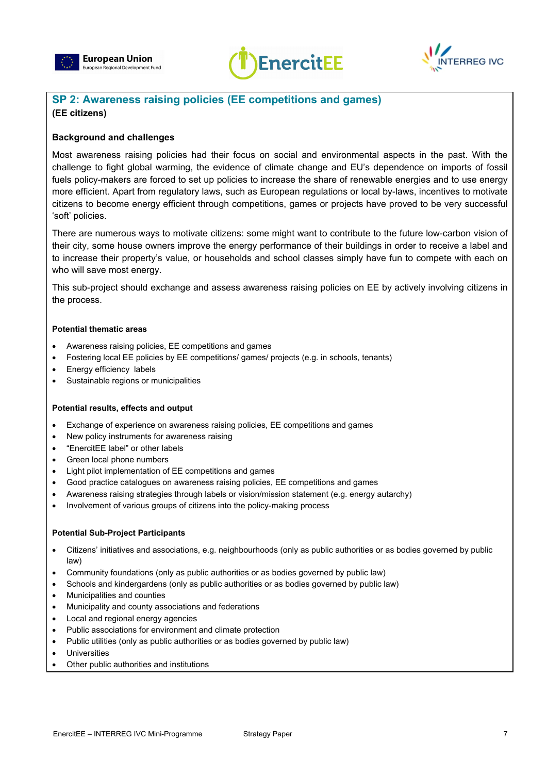





### **SP 2: Awareness raising policies (EE competitions and games) (EE citizens)**

#### **Background and challenges**

Most awareness raising policies had their focus on social and environmental aspects in the past. With the challenge to fight global warming, the evidence of climate change and EU's dependence on imports of fossil fuels policy-makers are forced to set up policies to increase the share of renewable energies and to use energy more efficient. Apart from regulatory laws, such as European regulations or local by-laws, incentives to motivate citizens to become energy efficient through competitions, games or projects have proved to be very successful 'soft' policies.

There are numerous ways to motivate citizens: some might want to contribute to the future low-carbon vision of their city, some house owners improve the energy performance of their buildings in order to receive a label and to increase their property's value, or households and school classes simply have fun to compete with each on who will save most energy.

This sub-project should exchange and assess awareness raising policies on EE by actively involving citizens in the process.

#### **Potential thematic areas**

- Awareness raising policies, EE competitions and games
- Fostering local EE policies by EE competitions/ games/ projects (e.g. in schools, tenants)
- Energy efficiency labels
- Sustainable regions or municipalities

#### **Potential results, effects and output**

- Exchange of experience on awareness raising policies, EE competitions and games
- New policy instruments for awareness raising
- "EnercitEE label" or other labels
- Green local phone numbers
- Light pilot implementation of EE competitions and games
- Good practice catalogues on awareness raising policies, EE competitions and games
- Awareness raising strategies through labels or vision/mission statement (e.g. energy autarchy)
- Involvement of various groups of citizens into the policy-making process

- Citizens' initiatives and associations, e.g. neighbourhoods (only as public authorities or as bodies governed by public law)
- Community foundations (only as public authorities or as bodies governed by public law)
- Schools and kindergardens (only as public authorities or as bodies governed by public law)
- Municipalities and counties
- Municipality and county associations and federations
- Local and regional energy agencies
- Public associations for environment and climate protection
- Public utilities (only as public authorities or as bodies governed by public law)
- **Universities**
- Other public authorities and institutions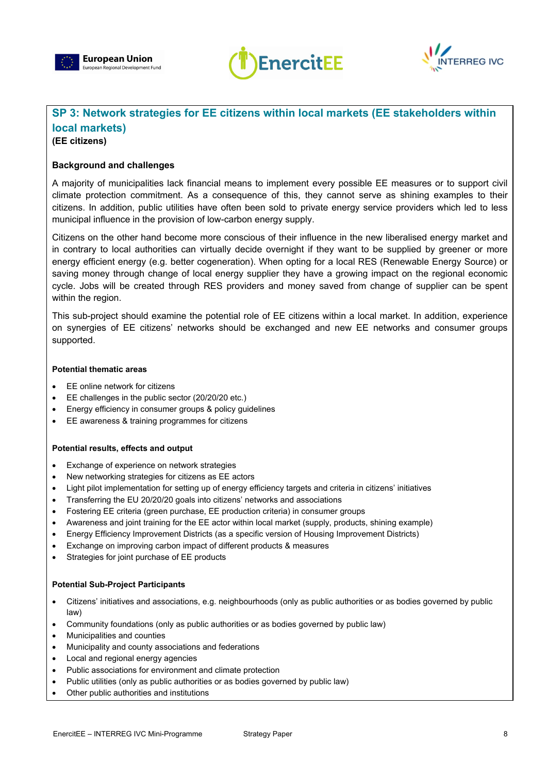





## **SP 3: Network strategies for EE citizens within local markets (EE stakeholders within local markets)**

### **(EE citizens)**

#### **Background and challenges**

A majority of municipalities lack financial means to implement every possible EE measures or to support civil climate protection commitment. As a consequence of this, they cannot serve as shining examples to their citizens. In addition, public utilities have often been sold to private energy service providers which led to less municipal influence in the provision of low-carbon energy supply.

Citizens on the other hand become more conscious of their influence in the new liberalised energy market and in contrary to local authorities can virtually decide overnight if they want to be supplied by greener or more energy efficient energy (e.g. better cogeneration). When opting for a local RES (Renewable Energy Source) or saving money through change of local energy supplier they have a growing impact on the regional economic cycle. Jobs will be created through RES providers and money saved from change of supplier can be spent within the region.

This sub-project should examine the potential role of EE citizens within a local market. In addition, experience on synergies of EE citizens' networks should be exchanged and new EE networks and consumer groups supported.

#### **Potential thematic areas**

- EE online network for citizens
- EE challenges in the public sector (20/20/20 etc.)
- Energy efficiency in consumer groups & policy guidelines
- EE awareness & training programmes for citizens

#### **Potential results, effects and output**

- Exchange of experience on network strategies
- New networking strategies for citizens as EE actors
- Light pilot implementation for setting up of energy efficiency targets and criteria in citizens' initiatives
- Transferring the EU 20/20/20 goals into citizens' networks and associations
- Fostering EE criteria (green purchase, EE production criteria) in consumer groups
- Awareness and joint training for the EE actor within local market (supply, products, shining example)
- Energy Efficiency Improvement Districts (as a specific version of Housing Improvement Districts)
- Exchange on improving carbon impact of different products & measures
- Strategies for joint purchase of EE products

- Citizens' initiatives and associations, e.g. neighbourhoods (only as public authorities or as bodies governed by public law)
- Community foundations (only as public authorities or as bodies governed by public law)
- Municipalities and counties
- Municipality and county associations and federations
- Local and regional energy agencies
- Public associations for environment and climate protection
- Public utilities (only as public authorities or as bodies governed by public law)
- Other public authorities and institutions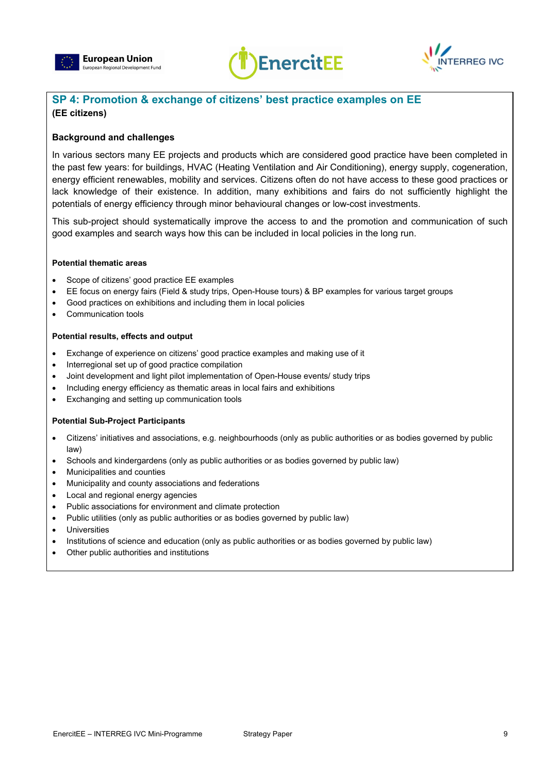





### **SP 4: Promotion & exchange of citizens' best practice examples on EE (EE citizens)**

#### **Background and challenges**

In various sectors many EE projects and products which are considered good practice have been completed in the past few years: for buildings, HVAC (Heating Ventilation and Air Conditioning), energy supply, cogeneration, energy efficient renewables, mobility and services. Citizens often do not have access to these good practices or lack knowledge of their existence. In addition, many exhibitions and fairs do not sufficiently highlight the potentials of energy efficiency through minor behavioural changes or low-cost investments.

This sub-project should systematically improve the access to and the promotion and communication of such good examples and search ways how this can be included in local policies in the long run.

#### **Potential thematic areas**

- Scope of citizens' good practice EE examples
- EE focus on energy fairs (Field & study trips, Open-House tours) & BP examples for various target groups
- Good practices on exhibitions and including them in local policies
- Communication tools

#### **Potential results, effects and output**

- Exchange of experience on citizens' good practice examples and making use of it
- Interregional set up of good practice compilation
- Joint development and light pilot implementation of Open-House events/ study trips
- Including energy efficiency as thematic areas in local fairs and exhibitions
- Exchanging and setting up communication tools

- Citizens' initiatives and associations, e.g. neighbourhoods (only as public authorities or as bodies governed by public law)
- Schools and kindergardens (only as public authorities or as bodies governed by public law)
- Municipalities and counties
- Municipality and county associations and federations
- Local and regional energy agencies
- Public associations for environment and climate protection
- Public utilities (only as public authorities or as bodies governed by public law)
- **Universities**
- Institutions of science and education (only as public authorities or as bodies governed by public law)
- Other public authorities and institutions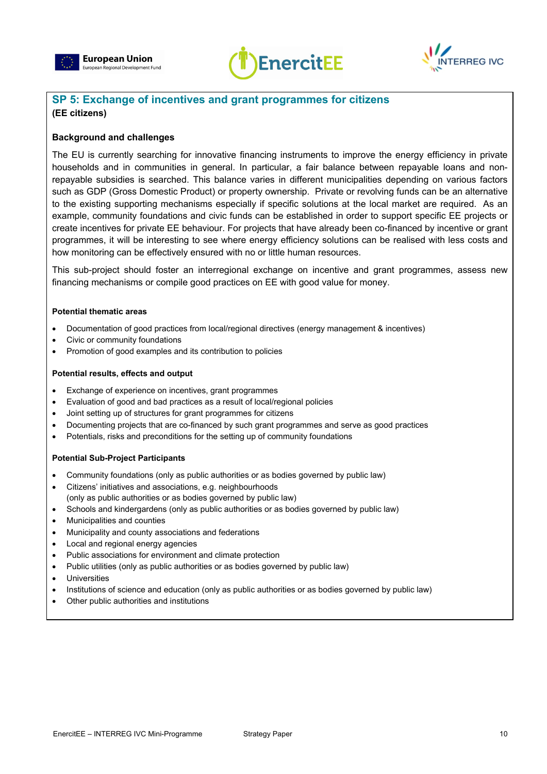





### **SP 5: Exchange of incentives and grant programmes for citizens (EE citizens)**

#### **Background and challenges**

The EU is currently searching for innovative financing instruments to improve the energy efficiency in private households and in communities in general. In particular, a fair balance between repayable loans and nonrepayable subsidies is searched. This balance varies in different municipalities depending on various factors such as GDP (Gross Domestic Product) or property ownership. Private or revolving funds can be an alternative to the existing supporting mechanisms especially if specific solutions at the local market are required. As an example, community foundations and civic funds can be established in order to support specific EE projects or create incentives for private EE behaviour. For projects that have already been co-financed by incentive or grant programmes, it will be interesting to see where energy efficiency solutions can be realised with less costs and how monitoring can be effectively ensured with no or little human resources.

This sub-project should foster an interregional exchange on incentive and grant programmes, assess new financing mechanisms or compile good practices on EE with good value for money.

#### **Potential thematic areas**

- Documentation of good practices from local/regional directives (energy management & incentives)
- Civic or community foundations
- Promotion of good examples and its contribution to policies

#### **Potential results, effects and output**

- Exchange of experience on incentives, grant programmes
- Evaluation of good and bad practices as a result of local/regional policies
- Joint setting up of structures for grant programmes for citizens
- Documenting projects that are co-financed by such grant programmes and serve as good practices
- Potentials, risks and preconditions for the setting up of community foundations

- Community foundations (only as public authorities or as bodies governed by public law)
- Citizens' initiatives and associations, e.g. neighbourhoods (only as public authorities or as bodies governed by public law)
- Schools and kindergardens (only as public authorities or as bodies governed by public law)
- Municipalities and counties
- Municipality and county associations and federations
- Local and regional energy agencies
- Public associations for environment and climate protection
- Public utilities (only as public authorities or as bodies governed by public law)
- **Universities**
- Institutions of science and education (only as public authorities or as bodies governed by public law)
- Other public authorities and institutions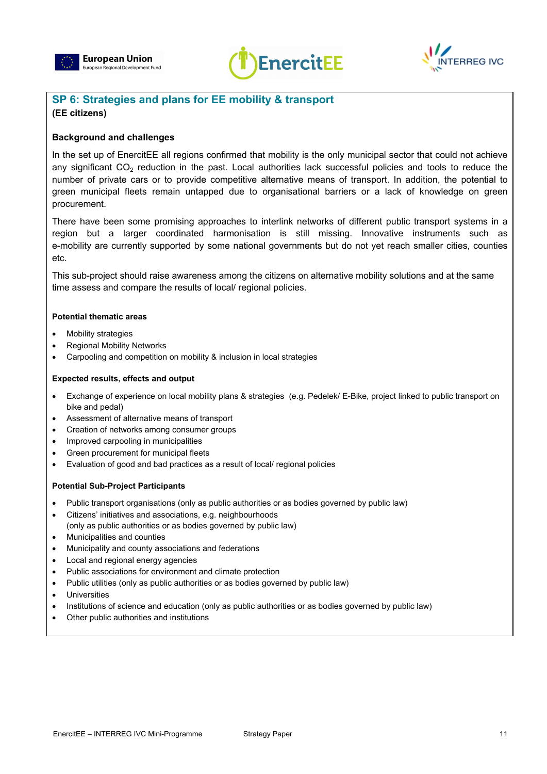





### **SP 6: Strategies and plans for EE mobility & transport (EE citizens)**

#### **Background and challenges**

In the set up of EnercitEE all regions confirmed that mobility is the only municipal sector that could not achieve any significant CO<sub>2</sub> reduction in the past. Local authorities lack successful policies and tools to reduce the number of private cars or to provide competitive alternative means of transport. In addition, the potential to green municipal fleets remain untapped due to organisational barriers or a lack of knowledge on green procurement.

There have been some promising approaches to interlink networks of different public transport systems in a region but a larger coordinated harmonisation is still missing. Innovative instruments such as e-mobility are currently supported by some national governments but do not yet reach smaller cities, counties etc.

This sub-project should raise awareness among the citizens on alternative mobility solutions and at the same time assess and compare the results of local/ regional policies.

#### **Potential thematic areas**

- Mobility strategies
- Regional Mobility Networks
- Carpooling and competition on mobility & inclusion in local strategies

#### **Expected results, effects and output**

- Exchange of experience on local mobility plans & strategies (e.g. Pedelek/ E-Bike, project linked to public transport on bike and pedal)
- Assessment of alternative means of transport
- Creation of networks among consumer groups
- Improved carpooling in municipalities
- Green procurement for municipal fleets
- Evaluation of good and bad practices as a result of local/ regional policies

- Public transport organisations (only as public authorities or as bodies governed by public law)
- Citizens' initiatives and associations, e.g. neighbourhoods (only as public authorities or as bodies governed by public law)
- Municipalities and counties
- Municipality and county associations and federations
- Local and regional energy agencies
- Public associations for environment and climate protection
- Public utilities (only as public authorities or as bodies governed by public law)
- **Universities**
- Institutions of science and education (only as public authorities or as bodies governed by public law)
- Other public authorities and institutions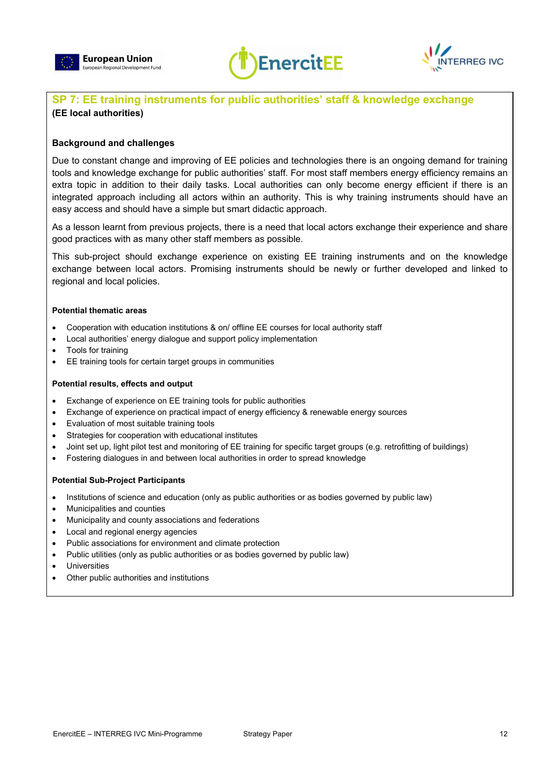





## **SP 7: EE training instruments for public authorities' staff & knowledge exchange (EE local authorities)**

#### **Background and challenges**

Due to constant change and improving of EE policies and technologies there is an ongoing demand for training tools and knowledge exchange for public authorities' staff. For most staff members energy efficiency remains an extra topic in addition to their daily tasks. Local authorities can only become energy efficient if there is an integrated approach including all actors within an authority. This is why training instruments should have an easy access and should have a simple but smart didactic approach.

As a lesson learnt from previous projects, there is a need that local actors exchange their experience and share good practices with as many other staff members as possible.

This sub-project should exchange experience on existing EE training instruments and on the knowledge exchange between local actors. Promising instruments should be newly or further developed and linked to regional and local policies.

#### **Potential thematic areas**

- Cooperation with education institutions & on/ offline EE courses for local authority staff
- Local authorities' energy dialogue and support policy implementation
- Tools for training
- EE training tools for certain target groups in communities

#### **Potential results, effects and output**

- Exchange of experience on EE training tools for public authorities
- Exchange of experience on practical impact of energy efficiency & renewable energy sources
- Evaluation of most suitable training tools
- Strategies for cooperation with educational institutes
- Joint set up, light pilot test and monitoring of EE training for specific target groups (e.g. retrofitting of buildings)
- Fostering dialogues in and between local authorities in order to spread knowledge

- Institutions of science and education (only as public authorities or as bodies governed by public law)
- Municipalities and counties
- Municipality and county associations and federations
- Local and regional energy agencies
- Public associations for environment and climate protection
- Public utilities (only as public authorities or as bodies governed by public law)
- **Universities**
- Other public authorities and institutions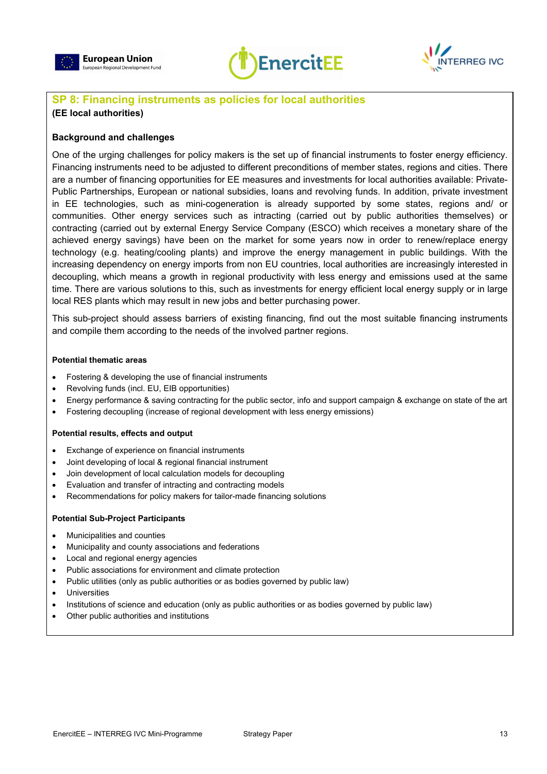





## **SP 8: Financing instruments as policies for local authorities**

#### **(EE local authorities)**

#### **Background and challenges**

One of the urging challenges for policy makers is the set up of financial instruments to foster energy efficiency. Financing instruments need to be adjusted to different preconditions of member states, regions and cities. There are a number of financing opportunities for EE measures and investments for local authorities available: Private-Public Partnerships, European or national subsidies, loans and revolving funds. In addition, private investment in EE technologies, such as mini-cogeneration is already supported by some states, regions and/ or communities. Other energy services such as intracting (carried out by public authorities themselves) or contracting (carried out by external Energy Service Company (ESCO) which receives a monetary share of the achieved energy savings) have been on the market for some years now in order to renew/replace energy technology (e.g. heating/cooling plants) and improve the energy management in public buildings. With the increasing dependency on energy imports from non EU countries, local authorities are increasingly interested in decoupling, which means a growth in regional productivity with less energy and emissions used at the same time. There are various solutions to this, such as investments for energy efficient local energy supply or in large local RES plants which may result in new jobs and better purchasing power.

This sub-project should assess barriers of existing financing, find out the most suitable financing instruments and compile them according to the needs of the involved partner regions.

#### **Potential thematic areas**

- Fostering & developing the use of financial instruments
- Revolving funds (incl. EU, EIB opportunities)
- Energy performance & saving contracting for the public sector, info and support campaign & exchange on state of the art
- Fostering decoupling (increase of regional development with less energy emissions)

#### **Potential results, effects and output**

- Exchange of experience on financial instruments
- Joint developing of local & regional financial instrument
- Join development of local calculation models for decoupling
- Evaluation and transfer of intracting and contracting models
- Recommendations for policy makers for tailor-made financing solutions

- Municipalities and counties
- Municipality and county associations and federations
- Local and regional energy agencies
- Public associations for environment and climate protection
- Public utilities (only as public authorities or as bodies governed by public law)
- **Universities**
- Institutions of science and education (only as public authorities or as bodies governed by public law)
- Other public authorities and institutions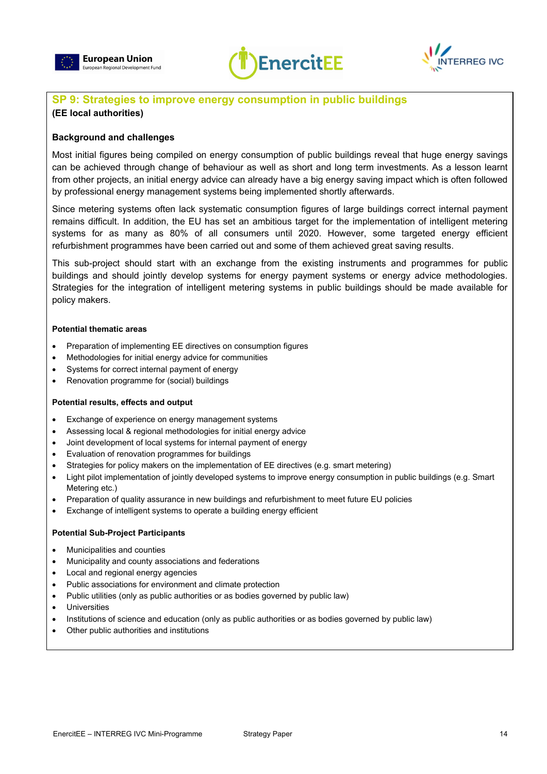





## **SP 9: Strategies to improve energy consumption in public buildings**

#### **(EE local authorities)**

#### **Background and challenges**

Most initial figures being compiled on energy consumption of public buildings reveal that huge energy savings can be achieved through change of behaviour as well as short and long term investments. As a lesson learnt from other projects, an initial energy advice can already have a big energy saving impact which is often followed by professional energy management systems being implemented shortly afterwards.

Since metering systems often lack systematic consumption figures of large buildings correct internal payment remains difficult. In addition, the EU has set an ambitious target for the implementation of intelligent metering systems for as many as 80% of all consumers until 2020. However, some targeted energy efficient refurbishment programmes have been carried out and some of them achieved great saving results.

This sub-project should start with an exchange from the existing instruments and programmes for public buildings and should jointly develop systems for energy payment systems or energy advice methodologies. Strategies for the integration of intelligent metering systems in public buildings should be made available for policy makers.

#### **Potential thematic areas**

- Preparation of implementing EE directives on consumption figures
- Methodologies for initial energy advice for communities
- Systems for correct internal payment of energy
- Renovation programme for (social) buildings

#### **Potential results, effects and output**

- Exchange of experience on energy management systems
- Assessing local & regional methodologies for initial energy advice
- Joint development of local systems for internal payment of energy
- Evaluation of renovation programmes for buildings
- Strategies for policy makers on the implementation of EE directives (e.g. smart metering)
- Light pilot implementation of jointly developed systems to improve energy consumption in public buildings (e.g. Smart Metering etc.)
- Preparation of quality assurance in new buildings and refurbishment to meet future EU policies
- Exchange of intelligent systems to operate a building energy efficient

- Municipalities and counties
- Municipality and county associations and federations
- Local and regional energy agencies
- Public associations for environment and climate protection
- Public utilities (only as public authorities or as bodies governed by public law)
- **Universities**
- Institutions of science and education (only as public authorities or as bodies governed by public law)
- Other public authorities and institutions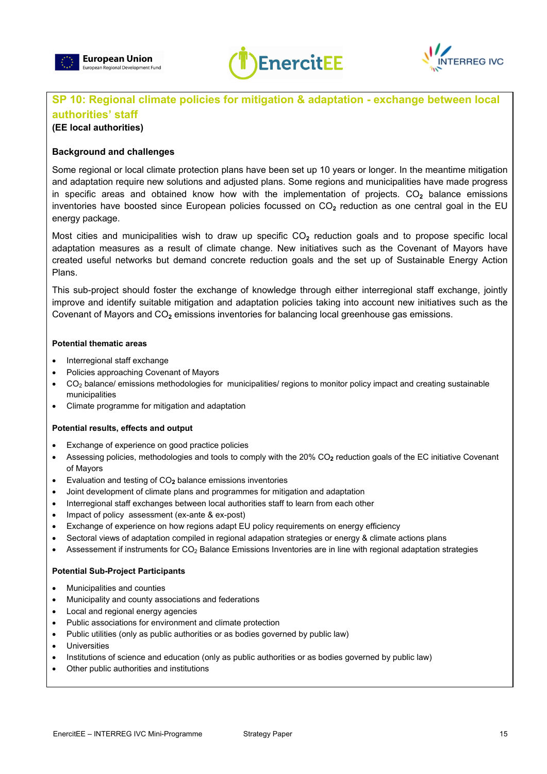





## **SP 10: Regional climate policies for mitigation & adaptation - exchange between local authorities' staff**

#### **(EE local authorities)**

#### **Background and challenges**

Some regional or local climate protection plans have been set up 10 years or longer. In the meantime mitigation and adaptation require new solutions and adjusted plans. Some regions and municipalities have made progress in specific areas and obtained know how with the implementation of projects. CO<sub>2</sub> balance emissions inventories have boosted since European policies focussed on CO**2** reduction as one central goal in the EU energy package.

Most cities and municipalities wish to draw up specific CO<sub>2</sub> reduction goals and to propose specific local adaptation measures as a result of climate change. New initiatives such as the Covenant of Mayors have created useful networks but demand concrete reduction goals and the set up of Sustainable Energy Action Plans.

This sub-project should foster the exchange of knowledge through either interregional staff exchange, jointly improve and identify suitable mitigation and adaptation policies taking into account new initiatives such as the Covenant of Mayors and CO**2** emissions inventories for balancing local greenhouse gas emissions.

#### **Potential thematic areas**

- Interregional staff exchange
- Policies approaching Covenant of Mayors
- CO<sub>2</sub> balance/ emissions methodologies for municipalities/ regions to monitor policy impact and creating sustainable municipalities
- Climate programme for mitigation and adaptation

#### **Potential results, effects and output**

- Exchange of experience on good practice policies
- Assessing policies, methodologies and tools to comply with the 20% CO**2** reduction goals of the EC initiative Covenant of Mayors
- Evaluation and testing of CO**2** balance emissions inventories
- Joint development of climate plans and programmes for mitigation and adaptation
- Interregional staff exchanges between local authorities staff to learn from each other
- Impact of policy assessment (ex-ante & ex-post)
- Exchange of experience on how regions adapt EU policy requirements on energy efficiency
- Sectoral views of adaptation compiled in regional adapation strategies or energy & climate actions plans
- Assessement if instruments for CO<sub>2</sub> Balance Emissions Inventories are in line with regional adaptation strategies

- Municipalities and counties
- Municipality and county associations and federations
- Local and regional energy agencies
- Public associations for environment and climate protection
- Public utilities (only as public authorities or as bodies governed by public law)
- **Universities**
- Institutions of science and education (only as public authorities or as bodies governed by public law)
- Other public authorities and institutions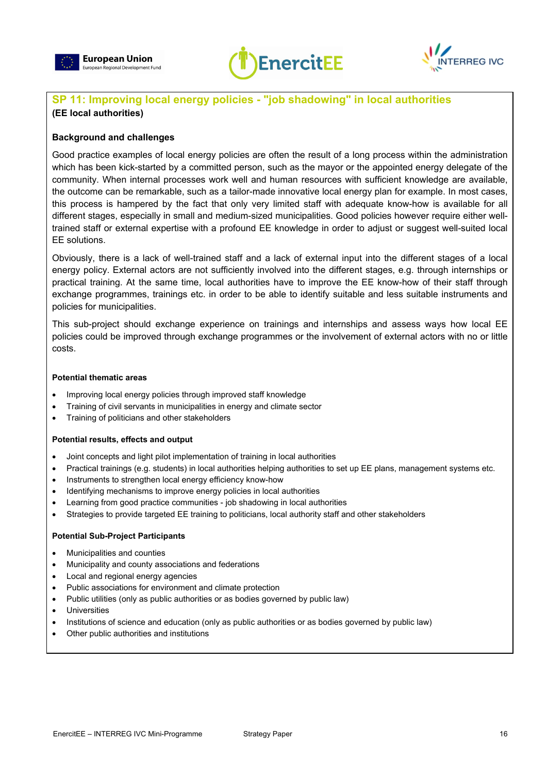





## **SP 11: Improving local energy policies - "job shadowing" in local authorities (EE local authorities)**

#### **Background and challenges**

Good practice examples of local energy policies are often the result of a long process within the administration which has been kick-started by a committed person, such as the mayor or the appointed energy delegate of the community. When internal processes work well and human resources with sufficient knowledge are available, the outcome can be remarkable, such as a tailor-made innovative local energy plan for example. In most cases, this process is hampered by the fact that only very limited staff with adequate know-how is available for all different stages, especially in small and medium-sized municipalities. Good policies however require either welltrained staff or external expertise with a profound EE knowledge in order to adjust or suggest well-suited local EE solutions.

Obviously, there is a lack of well-trained staff and a lack of external input into the different stages of a local energy policy. External actors are not sufficiently involved into the different stages, e.g. through internships or practical training. At the same time, local authorities have to improve the EE know-how of their staff through exchange programmes, trainings etc. in order to be able to identify suitable and less suitable instruments and policies for municipalities.

This sub-project should exchange experience on trainings and internships and assess ways how local EE policies could be improved through exchange programmes or the involvement of external actors with no or little costs.

#### **Potential thematic areas**

- Improving local energy policies through improved staff knowledge
- Training of civil servants in municipalities in energy and climate sector
- Training of politicians and other stakeholders

#### **Potential results, effects and output**

- Joint concepts and light pilot implementation of training in local authorities
- Practical trainings (e.g. students) in local authorities helping authorities to set up EE plans, management systems etc.
- Instruments to strengthen local energy efficiency know-how
- Identifying mechanisms to improve energy policies in local authorities
- Learning from good practice communities job shadowing in local authorities
- Strategies to provide targeted EE training to politicians, local authority staff and other stakeholders

- Municipalities and counties
- Municipality and county associations and federations
- Local and regional energy agencies
- Public associations for environment and climate protection
- Public utilities (only as public authorities or as bodies governed by public law)
- **Universities**
- Institutions of science and education (only as public authorities or as bodies governed by public law)
- Other public authorities and institutions